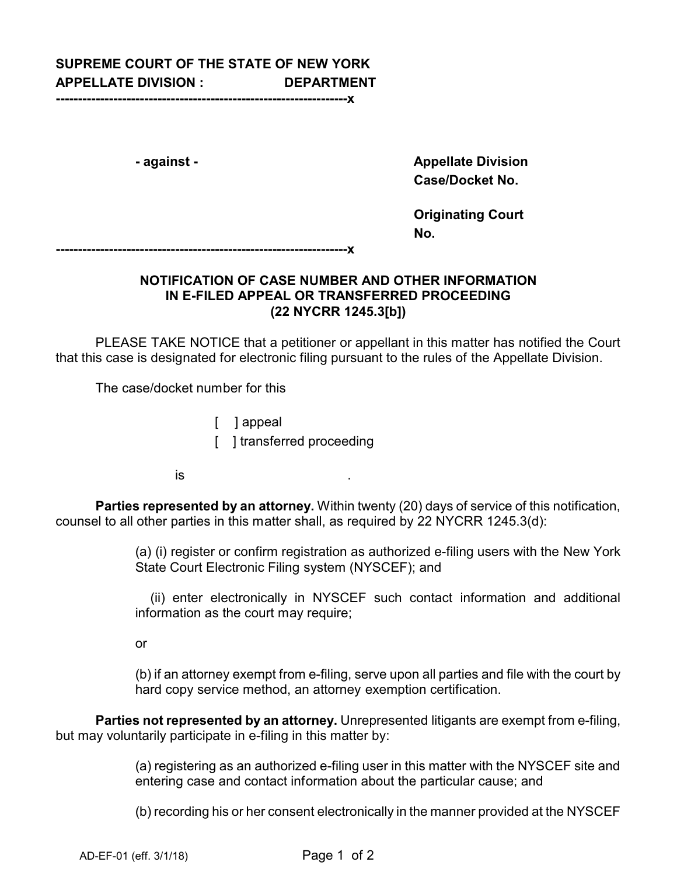## **SUPREME COURT OF THE STATE OF NEW YORK APPELLATE DIVISION : DEPARTMENT**

**------------------------------------------------------------------x**

**- against - Appellate Division Case/Docket No.** 

> **Originating Court No.**

**------------------------------------------------------------------x**

## **NOTIFICATION OF CASE NUMBER AND OTHER INFORMATION IN E-FILED APPEAL OR TRANSFERRED PROCEEDING (22 NYCRR 1245.3[b])**

PLEASE TAKE NOTICE that a petitioner or appellant in this matter has notified the Court that this case is designated for electronic filing pursuant to the rules of the Appellate Division.

The case/docket number for this

[ ] appeal

[ ] transferred proceeding

 $\overline{\phantom{a}}$  . This is the set of the set of the set of the set of the set of the set of the set of the set of the set of the set of the set of the set of the set of the set of the set of the set of the set of the set of t

**Parties represented by an attorney.** Within twenty (20) days of service of this notification, counsel to all other parties in this matter shall, as required by 22 NYCRR 1245.3(d):

> (a) (i) register or confirm registration as authorized e-filing users with the New York State Court Electronic Filing system (NYSCEF); and

> (ii) enter electronically in NYSCEF such contact information and additional information as the court may require;

or

(b) if an attorney exempt from e-filing, serve upon all parties and file with the court by hard copy service method, an attorney exemption certification.

**Parties not represented by an attorney.** Unrepresented litigants are exempt from e-filing, but may voluntarily participate in e-filing in this matter by:

> (a) registering as an authorized e-filing user in this matter with the NYSCEF site and entering case and contact information about the particular cause; and

> (b) recording his or her consent electronically in the manner provided at the NYSCEF